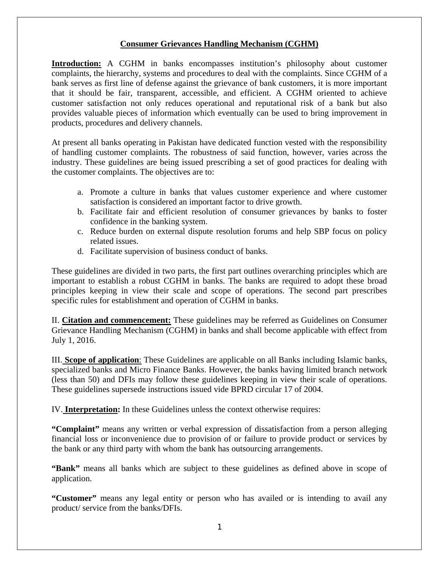### **Consumer Grievances Handling Mechanism (CGHM)**

**Introduction:** A CGHM in banks encompasses institution's philosophy about customer complaints, the hierarchy, systems and procedures to deal with the complaints. Since CGHM of a bank serves as first line of defense against the grievance of bank customers, it is more important that it should be fair, transparent, accessible, and efficient. A CGHM oriented to achieve customer satisfaction not only reduces operational and reputational risk of a bank but also provides valuable pieces of information which eventually can be used to bring improvement in products, procedures and delivery channels.

At present all banks operating in Pakistan have dedicated function vested with the responsibility of handling customer complaints. The robustness of said function, however, varies across the industry. These guidelines are being issued prescribing a set of good practices for dealing with the customer complaints. The objectives are to:

- a. Promote a culture in banks that values customer experience and where customer satisfaction is considered an important factor to drive growth.
- b. Facilitate fair and efficient resolution of consumer grievances by banks to foster confidence in the banking system.
- c. Reduce burden on external dispute resolution forums and help SBP focus on policy related issues.
- d. Facilitate supervision of business conduct of banks.

These guidelines are divided in two parts, the first part outlines overarching principles which are important to establish a robust CGHM in banks. The banks are required to adopt these broad principles keeping in view their scale and scope of operations. The second part prescribes specific rules for establishment and operation of CGHM in banks.

II. **Citation and commencement:** These guidelines may be referred as Guidelines on Consumer Grievance Handling Mechanism (CGHM) in banks and shall become applicable with effect from July 1, 2016.

III. **Scope of application**: These Guidelines are applicable on all Banks including Islamic banks, specialized banks and Micro Finance Banks. However, the banks having limited branch network (less than 50) and DFIs may follow these guidelines keeping in view their scale of operations. These guidelines supersede instructions issued vide BPRD circular 17 of 2004.

IV. **Interpretation:** In these Guidelines unless the context otherwise requires:

**"Complaint"** means any written or verbal expression of dissatisfaction from a person alleging financial loss or inconvenience due to provision of or failure to provide product or services by the bank or any third party with whom the bank has outsourcing arrangements.

**"Bank"** means all banks which are subject to these guidelines as defined above in scope of application.

**"Customer"** means any legal entity or person who has availed or is intending to avail any product/ service from the banks/DFIs.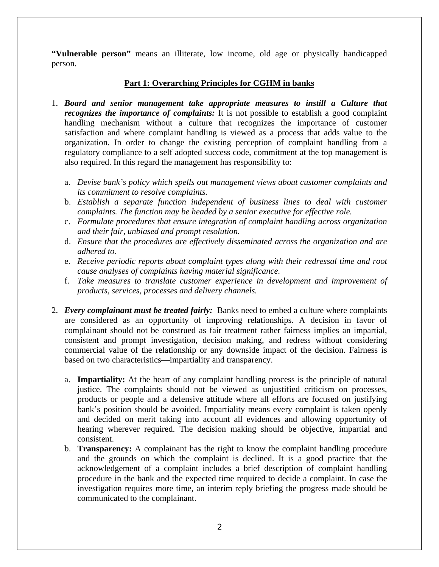**"Vulnerable person"** means an illiterate, low income, old age or physically handicapped person.

#### **Part 1: Overarching Principles for CGHM in banks**

- 1. *Board and senior management take appropriate measures to instill a Culture that recognizes the importance of complaints:* It is not possible to establish a good complaint handling mechanism without a culture that recognizes the importance of customer satisfaction and where complaint handling is viewed as a process that adds value to the organization. In order to change the existing perception of complaint handling from a regulatory compliance to a self adopted success code, commitment at the top management is also required. In this regard the management has responsibility to:
	- a. *Devise bank's policy which spells out management views about customer complaints and its commitment to resolve complaints.*
	- b. *Establish a separate function independent of business lines to deal with customer complaints. The function may be headed by a senior executive for effective role.*
	- c. *Formulate procedures that ensure integration of complaint handling across organization and their fair, unbiased and prompt resolution.*
	- d. *Ensure that the procedures are effectively disseminated across the organization and are adhered to.*
	- e. *Receive periodic reports about complaint types along with their redressal time and root cause analyses of complaints having material significance.*
	- f. *Take measures to translate customer experience in development and improvement of products, services, processes and delivery channels.*
- 2. *Every complainant must be treated fairly:* Banks need to embed a culture where complaints are considered as an opportunity of improving relationships. A decision in favor of complainant should not be construed as fair treatment rather fairness implies an impartial, consistent and prompt investigation, decision making, and redress without considering commercial value of the relationship or any downside impact of the decision. Fairness is based on two characteristics—impartiality and transparency.
	- a. **Impartiality:** At the heart of any complaint handling process is the principle of natural justice. The complaints should not be viewed as unjustified criticism on processes, products or people and a defensive attitude where all efforts are focused on justifying bank's position should be avoided. Impartiality means every complaint is taken openly and decided on merit taking into account all evidences and allowing opportunity of hearing wherever required. The decision making should be objective, impartial and consistent.
	- b. **Transparency:** A complainant has the right to know the complaint handling procedure and the grounds on which the complaint is declined. It is a good practice that the acknowledgement of a complaint includes a brief description of complaint handling procedure in the bank and the expected time required to decide a complaint. In case the investigation requires more time, an interim reply briefing the progress made should be communicated to the complainant.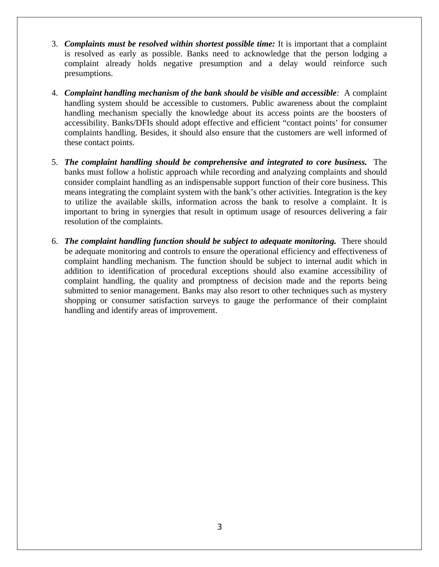- 3. *Complaints must be resolved within shortest possible time:* It is important that a complaint is resolved as early as possible. Banks need to acknowledge that the person lodging a complaint already holds negative presumption and a delay would reinforce such presumptions.
- 4. *Complaint handling mechanism of the bank should be visible and accessible:* A complaint handling system should be accessible to customers. Public awareness about the complaint handling mechanism specially the knowledge about its access points are the boosters of accessibility. Banks/DFIs should adopt effective and efficient "contact points' for consumer complaints handling. Besides, it should also ensure that the customers are well informed of these contact points.
- 5. *The complaint handling should be comprehensive and integrated to core business.* The banks must follow a holistic approach while recording and analyzing complaints and should consider complaint handling as an indispensable support function of their core business. This means integrating the complaint system with the bank's other activities. Integration is the key to utilize the available skills, information across the bank to resolve a complaint. It is important to bring in synergies that result in optimum usage of resources delivering a fair resolution of the complaints.
- 6. *The complaint handling function should be subject to adequate monitoring.* There should be adequate monitoring and controls to ensure the operational efficiency and effectiveness of complaint handling mechanism. The function should be subject to internal audit which in addition to identification of procedural exceptions should also examine accessibility of complaint handling, the quality and promptness of decision made and the reports being submitted to senior management. Banks may also resort to other techniques such as mystery shopping or consumer satisfaction surveys to gauge the performance of their complaint handling and identify areas of improvement.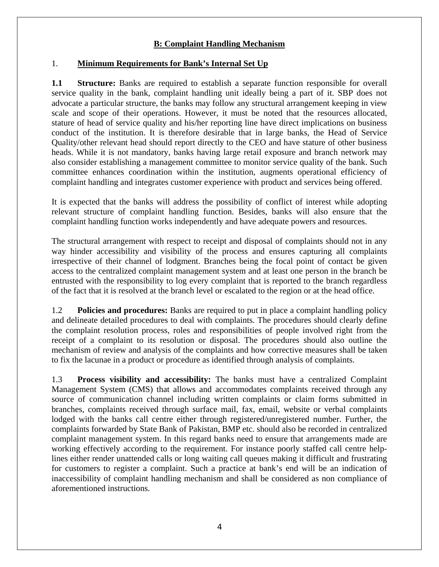## **B: Complaint Handling Mechanism**

### 1. **Minimum Requirements for Bank's Internal Set Up**

**1.1 Structure:** Banks are required to establish a separate function responsible for overall service quality in the bank, complaint handling unit ideally being a part of it. SBP does not advocate a particular structure, the banks may follow any structural arrangement keeping in view scale and scope of their operations. However, it must be noted that the resources allocated, stature of head of service quality and his/her reporting line have direct implications on business conduct of the institution. It is therefore desirable that in large banks, the Head of Service Quality/other relevant head should report directly to the CEO and have stature of other business heads. While it is not mandatory, banks having large retail exposure and branch network may also consider establishing a management committee to monitor service quality of the bank. Such committee enhances coordination within the institution, augments operational efficiency of complaint handling and integrates customer experience with product and services being offered.

It is expected that the banks will address the possibility of conflict of interest while adopting relevant structure of complaint handling function. Besides, banks will also ensure that the complaint handling function works independently and have adequate powers and resources.

The structural arrangement with respect to receipt and disposal of complaints should not in any way hinder accessibility and visibility of the process and ensures capturing all complaints irrespective of their channel of lodgment. Branches being the focal point of contact be given access to the centralized complaint management system and at least one person in the branch be entrusted with the responsibility to log every complaint that is reported to the branch regardless of the fact that it is resolved at the branch level or escalated to the region or at the head office.

1.2 **Policies and procedures:** Banks are required to put in place a complaint handling policy and delineate detailed procedures to deal with complaints. The procedures should clearly define the complaint resolution process, roles and responsibilities of people involved right from the receipt of a complaint to its resolution or disposal. The procedures should also outline the mechanism of review and analysis of the complaints and how corrective measures shall be taken to fix the lacunae in a product or procedure as identified through analysis of complaints.

1.3 **Process visibility and accessibility:** The banks must have a centralized Complaint Management System (CMS) that allows and accommodates complaints received through any source of communication channel including written complaints or claim forms submitted in branches, complaints received through surface mail, fax, email, website or verbal complaints lodged with the banks call centre either through registered/unregistered number. Further, the complaints forwarded by State Bank of Pakistan, BMP etc. should also be recorded in centralized complaint management system. In this regard banks need to ensure that arrangements made are working effectively according to the requirement. For instance poorly staffed call centre helplines either render unattended calls or long waiting call queues making it difficult and frustrating for customers to register a complaint. Such a practice at bank's end will be an indication of inaccessibility of complaint handling mechanism and shall be considered as non compliance of aforementioned instructions.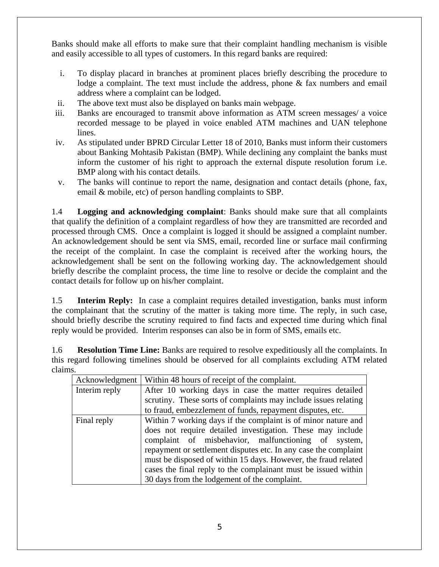Banks should make all efforts to make sure that their complaint handling mechanism is visible and easily accessible to all types of customers. In this regard banks are required:

- i. To display placard in branches at prominent places briefly describing the procedure to lodge a complaint. The text must include the address, phone & fax numbers and email address where a complaint can be lodged.
- ii. The above text must also be displayed on banks main webpage.
- iii. Banks are encouraged to transmit above information as ATM screen messages/ a voice recorded message to be played in voice enabled ATM machines and UAN telephone lines.
- iv. As stipulated under BPRD Circular Letter 18 of 2010, Banks must inform their customers about Banking Mohtasib Pakistan (BMP). While declining any complaint the banks must inform the customer of his right to approach the external dispute resolution forum i.e. BMP along with his contact details.
- v. The banks will continue to report the name, designation and contact details (phone, fax, email & mobile, etc) of person handling complaints to SBP.

1.4 **Logging and acknowledging complaint**: Banks should make sure that all complaints that qualify the definition of a complaint regardless of how they are transmitted are recorded and processed through CMS. Once a complaint is logged it should be assigned a complaint number. An acknowledgement should be sent via SMS, email, recorded line or surface mail confirming the receipt of the complaint. In case the complaint is received after the working hours, the acknowledgement shall be sent on the following working day. The acknowledgement should briefly describe the complaint process, the time line to resolve or decide the complaint and the contact details for follow up on his/her complaint.

1.5 **Interim Reply:** In case a complaint requires detailed investigation, banks must inform the complainant that the scrutiny of the matter is taking more time. The reply, in such case, should briefly describe the scrutiny required to find facts and expected time during which final reply would be provided. Interim responses can also be in form of SMS, emails etc.

1.6 **Resolution Time Line:** Banks are required to resolve expeditiously all the complaints. In this regard following timelines should be observed for all complaints excluding ATM related claims.

| Acknowledgment | Within 48 hours of receipt of the complaint.                    |  |  |  |  |  |  |
|----------------|-----------------------------------------------------------------|--|--|--|--|--|--|
| Interim reply  | After 10 working days in case the matter requires detailed      |  |  |  |  |  |  |
|                | scrutiny. These sorts of complaints may include issues relating |  |  |  |  |  |  |
|                | to fraud, embezzlement of funds, repayment disputes, etc.       |  |  |  |  |  |  |
| Final reply    | Within 7 working days if the complaint is of minor nature and   |  |  |  |  |  |  |
|                | does not require detailed investigation. These may include      |  |  |  |  |  |  |
|                | complaint of misbehavior, malfunctioning of system,             |  |  |  |  |  |  |
|                | repayment or settlement disputes etc. In any case the complaint |  |  |  |  |  |  |
|                | must be disposed of within 15 days. However, the fraud related  |  |  |  |  |  |  |
|                | cases the final reply to the complainant must be issued within  |  |  |  |  |  |  |
|                | 30 days from the lodgement of the complaint.                    |  |  |  |  |  |  |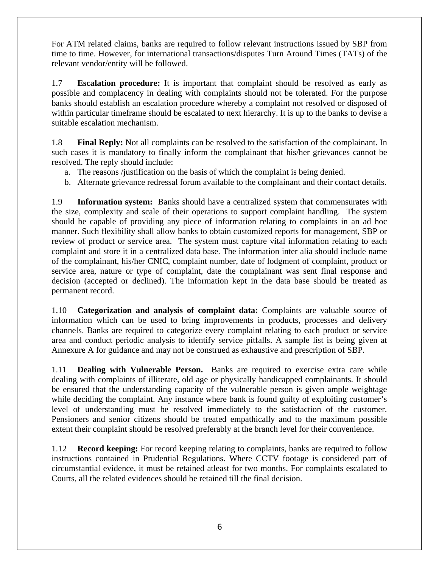For ATM related claims, banks are required to follow relevant instructions issued by SBP from time to time. However, for international transactions/disputes Turn Around Times (TATs) of the relevant vendor/entity will be followed.

1.7 **Escalation procedure:** It is important that complaint should be resolved as early as possible and complacency in dealing with complaints should not be tolerated. For the purpose banks should establish an escalation procedure whereby a complaint not resolved or disposed of within particular timeframe should be escalated to next hierarchy. It is up to the banks to devise a suitable escalation mechanism.

1.8 **Final Reply:** Not all complaints can be resolved to the satisfaction of the complainant. In such cases it is mandatory to finally inform the complainant that his/her grievances cannot be resolved. The reply should include:

- a. The reasons /justification on the basis of which the complaint is being denied.
- b. Alternate grievance redressal forum available to the complainant and their contact details.

1.9 **Information system:** Banks should have a centralized system that commensurates with the size, complexity and scale of their operations to support complaint handling. The system should be capable of providing any piece of information relating to complaints in an ad hoc manner. Such flexibility shall allow banks to obtain customized reports for management, SBP or review of product or service area. The system must capture vital information relating to each complaint and store it in a centralized data base. The information inter alia should include name of the complainant, his/her CNIC, complaint number, date of lodgment of complaint, product or service area, nature or type of complaint, date the complainant was sent final response and decision (accepted or declined). The information kept in the data base should be treated as permanent record.

1.10 **Categorization and analysis of complaint data:** Complaints are valuable source of information which can be used to bring improvements in products, processes and delivery channels. Banks are required to categorize every complaint relating to each product or service area and conduct periodic analysis to identify service pitfalls. A sample list is being given at Annexure A for guidance and may not be construed as exhaustive and prescription of SBP.

1.11 **Dealing with Vulnerable Person.** Banks are required to exercise extra care while dealing with complaints of illiterate, old age or physically handicapped complainants. It should be ensured that the understanding capacity of the vulnerable person is given ample weightage while deciding the complaint. Any instance where bank is found guilty of exploiting customer's level of understanding must be resolved immediately to the satisfaction of the customer. Pensioners and senior citizens should be treated empathically and to the maximum possible extent their complaint should be resolved preferably at the branch level for their convenience.

1.12 **Record keeping:** For record keeping relating to complaints, banks are required to follow instructions contained in Prudential Regulations. Where CCTV footage is considered part of circumstantial evidence, it must be retained atleast for two months. For complaints escalated to Courts, all the related evidences should be retained till the final decision.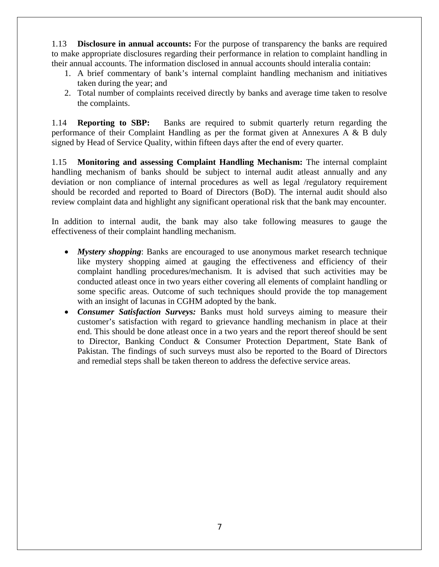1.13 **Disclosure in annual accounts:** For the purpose of transparency the banks are required to make appropriate disclosures regarding their performance in relation to complaint handling in their annual accounts. The information disclosed in annual accounts should interalia contain:

- 1. A brief commentary of bank's internal complaint handling mechanism and initiatives taken during the year; and
- 2. Total number of complaints received directly by banks and average time taken to resolve the complaints.

1.14 **Reporting to SBP:** Banks are required to submit quarterly return regarding the performance of their Complaint Handling as per the format given at Annexures A & B duly signed by Head of Service Quality, within fifteen days after the end of every quarter.

1.15 **Monitoring and assessing Complaint Handling Mechanism:** The internal complaint handling mechanism of banks should be subject to internal audit atleast annually and any deviation or non compliance of internal procedures as well as legal /regulatory requirement should be recorded and reported to Board of Directors (BoD). The internal audit should also review complaint data and highlight any significant operational risk that the bank may encounter.

In addition to internal audit, the bank may also take following measures to gauge the effectiveness of their complaint handling mechanism.

- *Mystery shopping*: Banks are encouraged to use anonymous market research technique like mystery shopping aimed at gauging the effectiveness and efficiency of their complaint handling procedures/mechanism. It is advised that such activities may be conducted atleast once in two years either covering all elements of complaint handling or some specific areas. Outcome of such techniques should provide the top management with an insight of lacunas in CGHM adopted by the bank.
- *Consumer Satisfaction Surveys:* Banks must hold surveys aiming to measure their customer's satisfaction with regard to grievance handling mechanism in place at their end. This should be done atleast once in a two years and the report thereof should be sent to Director, Banking Conduct & Consumer Protection Department, State Bank of Pakistan. The findings of such surveys must also be reported to the Board of Directors and remedial steps shall be taken thereon to address the defective service areas.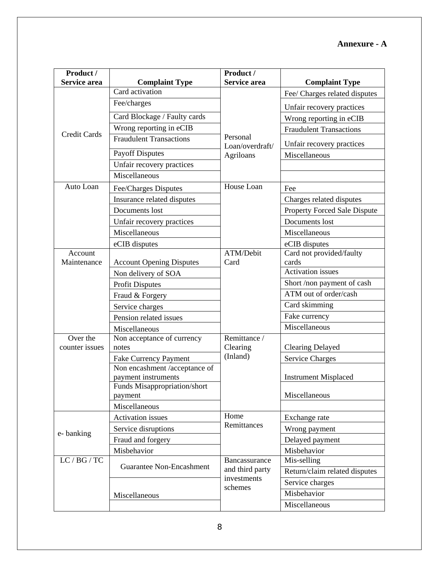# **Annexure - A**

| Product /<br>Service area |                                                      | Product /<br>Service area | <b>Complaint Type</b>               |  |  |  |
|---------------------------|------------------------------------------------------|---------------------------|-------------------------------------|--|--|--|
|                           | <b>Complaint Type</b><br>Card activation             |                           |                                     |  |  |  |
|                           | Fee/charges                                          |                           | Fee/ Charges related disputes       |  |  |  |
|                           |                                                      |                           | Unfair recovery practices           |  |  |  |
|                           | Card Blockage / Faulty cards                         |                           | Wrong reporting in eCIB             |  |  |  |
| <b>Credit Cards</b>       | Wrong reporting in eCIB                              | Personal                  | <b>Fraudulent Transactions</b>      |  |  |  |
|                           | <b>Fraudulent Transactions</b>                       | Loan/overdraft/           | Unfair recovery practices           |  |  |  |
|                           | <b>Payoff Disputes</b>                               | Agriloans                 | Miscellaneous                       |  |  |  |
|                           | Unfair recovery practices                            |                           |                                     |  |  |  |
|                           | Miscellaneous                                        |                           |                                     |  |  |  |
| Auto Loan                 | Fee/Charges Disputes                                 | House Loan                | Fee                                 |  |  |  |
|                           | Insurance related disputes                           |                           | Charges related disputes            |  |  |  |
|                           | Documents lost                                       |                           | <b>Property Forced Sale Dispute</b> |  |  |  |
|                           | Unfair recovery practices                            |                           | Documents lost                      |  |  |  |
|                           | Miscellaneous                                        |                           | Miscellaneous                       |  |  |  |
|                           | eCIB disputes                                        |                           | eCIB disputes                       |  |  |  |
| Account                   |                                                      | ATM/Debit                 | Card not provided/faulty            |  |  |  |
| Maintenance               | <b>Account Opening Disputes</b>                      | Card                      | cards                               |  |  |  |
|                           | Non delivery of SOA                                  |                           | <b>Activation</b> issues            |  |  |  |
|                           | <b>Profit Disputes</b>                               |                           | Short /non payment of cash          |  |  |  |
|                           | Fraud & Forgery                                      |                           | ATM out of order/cash               |  |  |  |
|                           | Service charges                                      |                           | Card skimming                       |  |  |  |
|                           | Pension related issues                               |                           | Fake currency                       |  |  |  |
|                           | Miscellaneous                                        |                           | Miscellaneous                       |  |  |  |
| Over the                  | Non acceptance of currency                           | Remittance /              |                                     |  |  |  |
| counter issues            | notes                                                | Clearing<br>(Inland)      | <b>Clearing Delayed</b>             |  |  |  |
|                           | Fake Currency Payment                                |                           | <b>Service Charges</b>              |  |  |  |
|                           | Non encashment /acceptance of<br>payment instruments |                           | <b>Instrument Misplaced</b>         |  |  |  |
|                           | Funds Misappropriation/short                         |                           |                                     |  |  |  |
|                           | payment                                              |                           | Miscellaneous                       |  |  |  |
|                           | Miscellaneous                                        |                           |                                     |  |  |  |
| e-banking                 | Activation issues                                    | Home                      | Exchange rate                       |  |  |  |
|                           | Service disruptions                                  | Remittances               | Wrong payment                       |  |  |  |
|                           | Fraud and forgery                                    |                           | Delayed payment                     |  |  |  |
|                           | Misbehavior                                          |                           | Misbehavior                         |  |  |  |
| LC / BG / TC              | <b>Guarantee Non-Encashment</b>                      | Bancassurance             | Mis-selling                         |  |  |  |
|                           |                                                      | and third party           | Return/claim related disputes       |  |  |  |
|                           |                                                      | investments<br>schemes    | Service charges                     |  |  |  |
|                           | Miscellaneous                                        |                           | Misbehavior                         |  |  |  |
|                           |                                                      |                           | Miscellaneous                       |  |  |  |